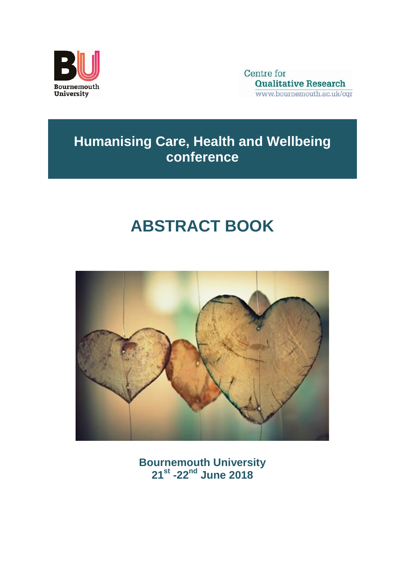

Centre for **Qualitative Research** www.bournemouth.ac.uk/cgr

# **Humanising Care, Health and Wellbeing conference**

# **ABSTRACT BOOK**



**Bournemouth University 21 st -22nd June 2018**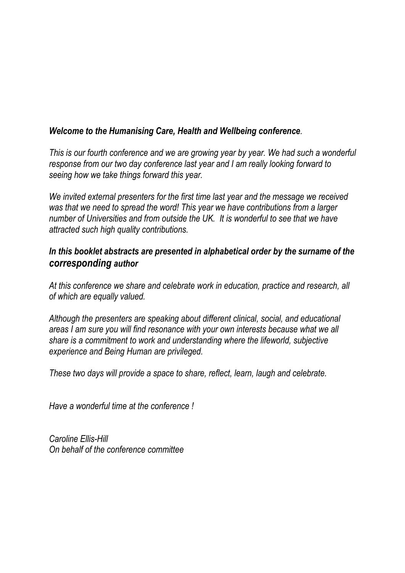# *Welcome to the Humanising Care, Health and Wellbeing conference.*

*This is our fourth conference and we are growing year by year. We had such a wonderful response from our two day conference last year and I am really looking forward to seeing how we take things forward this year.* 

*We invited external presenters for the first time last year and the message we received was that we need to spread the word! This year we have contributions from a larger number of Universities and from outside the UK. It is wonderful to see that we have attracted such high quality contributions.* 

# *In this booklet abstracts are presented in alphabetical order by the surname of the corresponding author*

*At this conference we share and celebrate work in education, practice and research, all of which are equally valued.* 

*Although the presenters are speaking about different clinical, social, and educational areas I am sure you will find resonance with your own interests because what we all share is a commitment to work and understanding where the lifeworld, subjective experience and Being Human are privileged.* 

*These two days will provide a space to share, reflect, learn, laugh and celebrate.* 

*Have a wonderful time at the conference !*

*Caroline Ellis-Hill On behalf of the conference committee*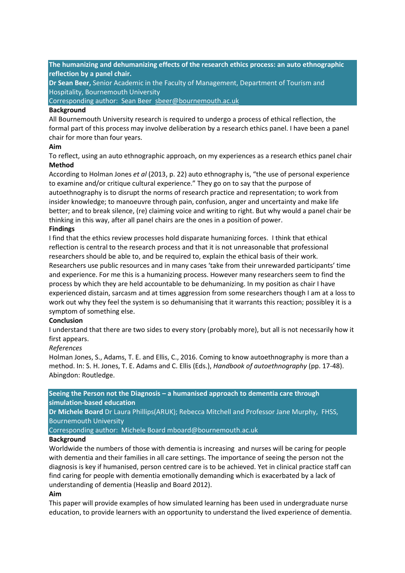**The humanizing and dehumanizing effects of the research ethics process: an auto ethnographic reflection by a panel chair.**

**Dr Sean Beer,** Senior Academic in the Faculty of Management, Department of Tourism and Hospitality, Bournemouth University

Corresponding author: Sean Beer [sbeer@bournemouth.ac.uk](mailto:sbeer@bournemouth.ac.uk)

#### **Background**

All Bournemouth University research is required to undergo a process of ethical reflection, the formal part of this process may involve deliberation by a research ethics panel. I have been a panel chair for more than four years.

### **Aim**

To reflect, using an auto ethnographic approach, on my experiences as a research ethics panel chair **Method**

According to Holman Jones *et al* (2013, p. 22) auto ethnography is, "the use of personal experience to examine and/or critique cultural experience." They go on to say that the purpose of autoethnography is to disrupt the norms of research practice and representation; to work from insider knowledge; to manoeuvre through pain, confusion, anger and uncertainty and make life better; and to break silence, (re) claiming voice and writing to right. But why would a panel chair be thinking in this way, after all panel chairs are the ones in a position of power.

# **Findings**

I find that the ethics review processes hold disparate humanizing forces. I think that ethical reflection is central to the research process and that it is not unreasonable that professional researchers should be able to, and be required to, explain the ethical basis of their work. Researchers use public resources and in many cases 'take from their unrewarded participants' time and experience. For me this is a humanizing process. However many researchers seem to find the process by which they are held accountable to be dehumanizing. In my position as chair I have experienced distain, sarcasm and at times aggression from some researchers though I am at a loss to work out why they feel the system is so dehumanising that it warrants this reaction; possibley it is a symptom of something else.

#### **Conclusion**

I understand that there are two sides to every story (probably more), but all is not necessarily how it first appears.

#### *References*

Holman Jones, S., Adams, T. E. and Ellis, C., 2016. Coming to know autoethnography is more than a method. In: S. H. Jones, T. E. Adams and C. Ellis (Eds.), *Handbook of autoethnography* (pp. 17-48). Abingdon: Routledge.

**Seeing the Person not the Diagnosis – a humanised approach to dementia care through simulation-based education**

**Dr Michele Board** Dr Laura Phillips(ARUK); Rebecca Mitchell and Professor Jane Murphy, FHSS, Bournemouth University

Corresponding author: Michele Board mboard@bournemouth.ac.uk

#### **Background**

Worldwide the numbers of those with dementia is increasing and nurses will be caring for people with dementia and their families in all care settings. The importance of seeing the person not the diagnosis is key if humanised, person centred care is to be achieved. Yet in clinical practice staff can find caring for people with dementia emotionally demanding which is exacerbated by a lack of understanding of dementia (Heaslip and Board 2012).

### **Aim**

This paper will provide examples of how simulated learning has been used in undergraduate nurse education, to provide learners with an opportunity to understand the lived experience of dementia.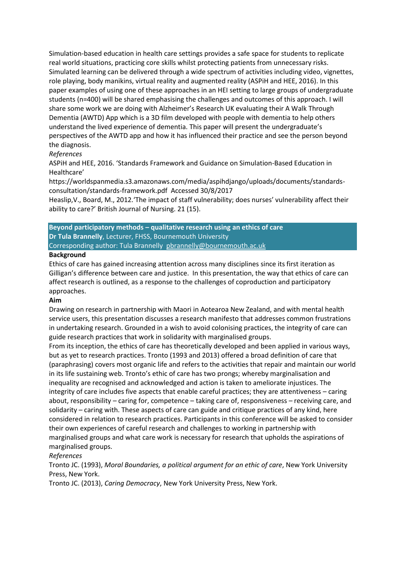Simulation-based education in health care settings provides a safe space for students to replicate real world situations, practicing core skills whilst protecting patients from unnecessary risks. Simulated learning can be delivered through a wide spectrum of activities including video, vignettes, role playing, body manikins, virtual reality and augmented reality (ASPiH and HEE, 2016). In this paper examples of using one of these approaches in an HEI setting to large groups of undergraduate students (n=400) will be shared emphasising the challenges and outcomes of this approach. I will share some work we are doing with Alzheimer's Research UK evaluating their A Walk Through Dementia (AWTD) App which is a 3D film developed with people with dementia to help others understand the lived experience of dementia. This paper will present the undergraduate's perspectives of the AWTD app and how it has influenced their practice and see the person beyond the diagnosis.

# *References*

ASPiH and HEE, 2016. 'Standards Framework and Guidance on Simulation-Based Education in Healthcare'

https://worldspanmedia.s3.amazonaws.com/media/aspihdjango/uploads/documents/standardsconsultation/standards-framework.pdf Accessed 30/8/2017

Heaslip,V., Board, M., 2012.'The impact of staff vulnerability; does nurses' vulnerability affect their ability to care?' British Journal of Nursing. 21 (15).

**Beyond participatory methods – qualitative research using an ethics of care Dr Tula Brannelly**, Lecturer, FHSS, Bournemouth University Corresponding author: Tula Brannelly [pbrannelly@bournemouth.ac.uk](mailto:pbrannelly@bournemouth.ac.uk)

#### **Background**

Ethics of care has gained increasing attention across many disciplines since its first iteration as Gilligan's difference between care and justice. In this presentation, the way that ethics of care can affect research is outlined, as a response to the challenges of coproduction and participatory approaches.

#### **Aim**

Drawing on research in partnership with Maori in Aotearoa New Zealand, and with mental health service users, this presentation discusses a research manifesto that addresses common frustrations in undertaking research. Grounded in a wish to avoid colonising practices, the integrity of care can guide research practices that work in solidarity with marginalised groups.

From its inception, the ethics of care has theoretically developed and been applied in various ways, but as yet to research practices. Tronto (1993 and 2013) offered a broad definition of care that (paraphrasing) covers most organic life and refers to the activities that repair and maintain our world in its life sustaining web. Tronto's ethic of care has two prongs; whereby marginalisation and inequality are recognised and acknowledged and action is taken to ameliorate injustices. The integrity of care includes five aspects that enable careful practices; they are attentiveness – caring about, responsibility – caring for, competence – taking care of, responsiveness – receiving care, and solidarity – caring with. These aspects of care can guide and critique practices of any kind, here considered in relation to research practices. Participants in this conference will be asked to consider their own experiences of careful research and challenges to working in partnership with marginalised groups and what care work is necessary for research that upholds the aspirations of marginalised groups.

#### *References*

Tronto JC. (1993), *Moral Boundaries, a political argument for an ethic of care*, New York University Press, New York.

Tronto JC. (2013), *Caring Democracy*, New York University Press, New York.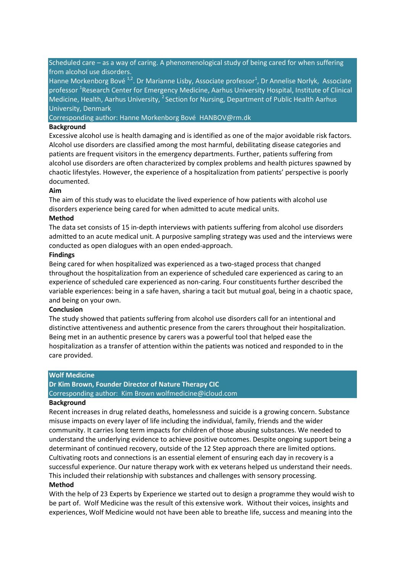Scheduled care – as a way of caring. A phenomenological study of being cared for when suffering from alcohol use disorders.

Hanne Morkenborg Bové <sup>1,2</sup>. Dr Marianne Lisby, Associate professor<sup>1</sup>, Dr Annelise Norlyk, Associate professor <sup>1</sup>Research Center for Emergency Medicine, Aarhus University Hospital, Institute of Clinical Medicine, Health, Aarhus University, <sup>2</sup> Section for Nursing, Department of Public Health Aarhus University, Denmark

Corresponding author: Hanne Morkenborg Bové HANBOV@rm.dk

#### **Background**

Excessive alcohol use is health damaging and is identified as one of the major avoidable risk factors. Alcohol use disorders are classified among the most harmful, debilitating disease categories and patients are frequent visitors in the emergency departments. Further, patients suffering from alcohol use disorders are often characterized by complex problems and health pictures spawned by chaotic lifestyles. However, the experience of a hospitalization from patients' perspective is poorly documented.

#### **Aim**

The aim of this study was to elucidate the lived experience of how patients with alcohol use disorders experience being cared for when admitted to acute medical units.

#### **Method**

The data set consists of 15 in-depth interviews with patients suffering from alcohol use disorders admitted to an acute medical unit. A purposive sampling strategy was used and the interviews were conducted as open dialogues with an open ended-approach.

#### **Findings**

Being cared for when hospitalized was experienced as a two-staged process that changed throughout the hospitalization from an experience of scheduled care experienced as caring to an experience of scheduled care experienced as non-caring. Four constituents further described the variable experiences: being in a safe haven, sharing a tacit but mutual goal, being in a chaotic space, and being on your own.

#### **Conclusion**

The study showed that patients suffering from alcohol use disorders call for an intentional and distinctive attentiveness and authentic presence from the carers throughout their hospitalization. Being met in an authentic presence by carers was a powerful tool that helped ease the hospitalization as a transfer of attention within the patients was noticed and responded to in the care provided.

#### **Wolf Medicine**

#### **Dr Kim Brown, Founder Director of Nature Therapy CIC**

Corresponding author: Kim Brown wolfmedicine@icloud.com

#### **Background**

Recent increases in drug related deaths, homelessness and suicide is a growing concern. Substance misuse impacts on every layer of life including the individual, family, friends and the wider community. It carries long term impacts for children of those abusing substances. We needed to understand the underlying evidence to achieve positive outcomes. Despite ongoing support being a determinant of continued recovery, outside of the 12 Step approach there are limited options. Cultivating roots and connections is an essential element of ensuring each day in recovery is a successful experience. Our nature therapy work with ex veterans helped us understand their needs. This included their relationship with substances and challenges with sensory processing. **Method**

# With the help of 23 Experts by Experience we started out to design a programme they would wish to be part of. Wolf Medicine was the result of this extensive work. Without their voices, insights and experiences, Wolf Medicine would not have been able to breathe life, success and meaning into the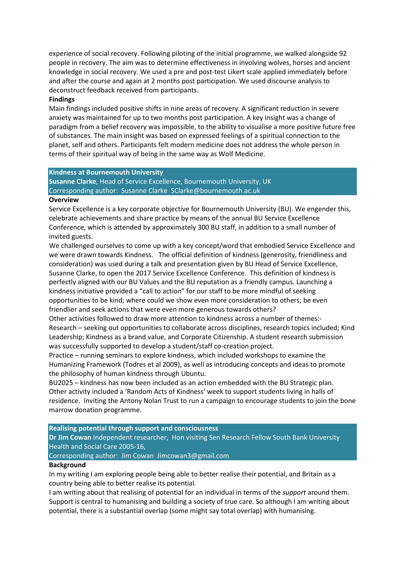experience of social recovery. Following piloting of the initial programme, we walked alongside 92 people in recovery. The aim was to determine effectiveness in involving wolves, horses and ancient knowledge in social recovery. We used a pre and post-test Likert scale applied immediately before and after the course and again at 2 months post participation. We used discourse analysis to deconstruct feedback received from participants.

#### **Findings**

Main findings included positive shifts in nine areas of recovery. A significant reduction in severe anxiety was maintained for up to two months post participation. A key insight was a change of paradigm from a belief recovery was impossible, to the ability to visualise a more positive future free of substances. The main insight was based on expressed feelings of a spiritual connection to the planet, self and others. Participants felt modern medicine does not address the whole person in terms of their spiritual way of being in the same way as Wolf Medicine.

#### **Kindness at Bournemouth University**

**Susanne Clarke**, Head of Service Excellence, Bournemouth University, UK Corresponding author: Susanne Clarke SClarke@bournemouth.ac.uk

#### **Overview**

Service Excellence is a key corporate objective for Bournemouth University (BU). We engender this, celebrate achievements and share practice by means of the annual BU Service Excellence Conference, which is attended by approximately 300 BU staff, in addition to a small number of invited guests.

We challenged ourselves to come up with a key concept/word that embodied Service Excellence and we were drawn towards Kindness. The official definition of kindness (generosity, friendliness and consideration) was used during a talk and presentation given by BU Head of Service Excellence, Susanne Clarke, to open the 2017 Service Excellence Conference. This definition of kindness is perfectly aligned with our BU Values and the BU reputation as a friendly campus. Launching a kindness initiative provided a "call to action" for our staff to be more mindful of seeking opportunities to be kind; where could we show even more consideration to others; be even friendlier and seek actions that were even more generous towards others?

Other activities followed to draw more attention to kindness across a number of themes:- Research – seeking out opportunities to collaborate across disciplines, research topics included; Kind Leadership; Kindness as a brand value, and Corporate Citizenship. A student research submission was successfully supported to develop a student/staff co-creation project.

Practice – running seminars to explore kindness, which included workshops to examine the Humanizing Framework (Todres et al 2009), as well as introducing concepts and ideas to promote the philosophy of human kindness through Ubuntu.

BU2025 – kindness has now been included as an action embedded with the BU Strategic plan. Other activity included a 'Random Acts of Kindness' week to support students living in halls of residence. Inviting the Antony Nolan Trust to run a campaign to encourage students to join the bone marrow donation programme.

#### **Realising potential through support and consciousness**

**Dr Jim Cowan** Independent researcher, Hon visiting Sen Research Fellow South Bank University Health and Social Care 2005-16,

Corresponding author: Jim Cowan Jimcowan3@gmail.com

#### **Background**

In my writing I am exploring people being able to better realise their potential, and Britain as a country being able to better realise its potential.

I am writing about that realising of potential for an individual in terms of the *support* around them. Support is central to humanising and building a society of true care. So although I am writing about potential, there is a substantial overlap (some might say total overlap) with humanising.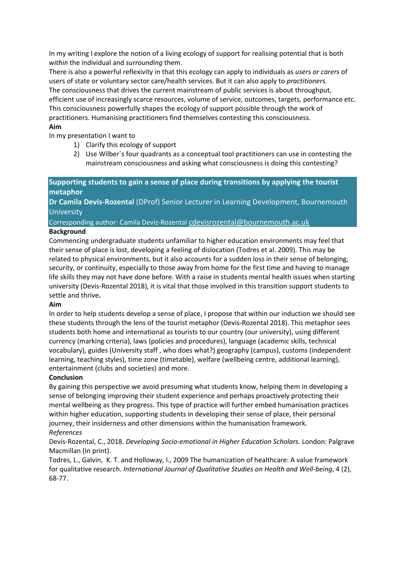In my writing I explore the notion of a living ecology of support for realising potential that is both *within* the individual and *surrounding* them.

There is also a powerful reflexivity in that this ecology can apply to individuals as *users or carers* of users of state or voluntary sector care/health services. But it can also apply to *practitioners.* The consciousness that drives the current mainstream of public services is about throughput, efficient use of increasingly scarce resources, volume of service, outcomes, targets, performance etc. This consciousness powerfully shapes the ecology of support possible through the work of practitioners. Humanising practitioners find themselves contesting this consciousness.

# **Aim**

In my presentation I want to

- 1) Clarify this ecology of support
- 2) Use Wilber`s four quadrants as a conceptual tool practitioners can use in contesting the mainstream consciousness and asking what consciousness is doing this contesting?

# **Supporting students to gain a sense of place during transitions by applying the tourist metaphor**

**Dr Camila Devis-Rozental** (DProf) Senior Lecturer in Learning Development, Bournemouth **University** 

# Corresponding author: Camila Deviz-Rozental [cdevisrozental@bournemouth.ac.uk](mailto:cdevisrozental@bournemouth.ac.uk)

# **Background**

Commencing undergraduate students unfamiliar to higher education environments may feel that their sense of place is lost, developing a feeling of dislocation (Todres et al. 2009). This may be related to physical environments, but it also accounts for a sudden loss in their sense of belonging, security, or continuity, especially to those away from home for the first time and having to manage life skills they may not have done before. With a raise in students mental health issues when starting university (Devis-Rozental 2018), it is vital that those involved in this transition support students to settle and thrive**.** 

# **Aim**

In order to help students develop a sense of place, I propose that within our induction we should see these students through the lens of the tourist metaphor (Devis-Rozental 2018). This metaphor sees students both home and international as tourists to our country (our university), using different currency (marking criteria), laws (policies and procedures), language (academic skills, technical vocabulary), guides (University staff , who does what?) geography (campus), customs (independent learning, teaching styles), time zone (timetable), welfare (wellbeing centre, additional learning), entertainment (clubs and societies) and more.

# **Conclusion**

By gaining this perspective we avoid presuming what students know, helping them in developing a sense of belonging improving their student experience and perhaps proactively protecting their mental wellbeing as they progress. This type of practice will further embed humanisation practices within higher education, supporting students in developing their sense of place, their personal journey, their insiderness and other dimensions within the humanisation framework. *References*

# Devis-Rozental, C., 2018*. Developing Socio-emotional in Higher Education Scholars.* London: Palgrave Macmillan (In print).

Todres, L., Galvin, K. T. and Holloway, I., 2009 The humanization of healthcare: A value framework for qualitative research. *International Journal of Qualitative Studies on Health and Well-being*, 4 (2), 68-77.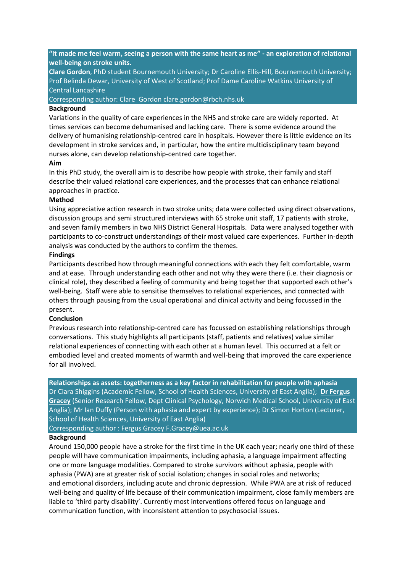**"It made me feel warm, seeing a person with the same heart as me" - an exploration of relational well-being on stroke units.**

**Clare Gordon**, PhD student Bournemouth University; Dr Caroline Ellis-Hill, Bournemouth University; Prof Belinda Dewar, University of West of Scotland; Prof Dame Caroline Watkins University of Central Lancashire

Corresponding author: Clare Gordon clare.gordon@rbch.nhs.uk

#### **Background**

Variations in the quality of care experiences in the NHS and stroke care are widely reported. At times services can become dehumanised and lacking care. There is some evidence around the delivery of humanising relationship-centred care in hospitals. However there is little evidence on its development in stroke services and, in particular, how the entire multidisciplinary team beyond nurses alone, can develop relationship-centred care together.

#### **Aim**

In this PhD study, the overall aim is to describe how people with stroke, their family and staff describe their valued relational care experiences, and the processes that can enhance relational approaches in practice.

#### **Method**

Using appreciative action research in two stroke units; data were collected using direct observations, discussion groups and semi structured interviews with 65 stroke unit staff, 17 patients with stroke, and seven family members in two NHS District General Hospitals. Data were analysed together with participants to co-construct understandings of their most valued care experiences. Further in-depth analysis was conducted by the authors to confirm the themes.

#### **Findings**

Participants described how through meaningful connections with each they felt comfortable, warm and at ease. Through understanding each other and not why they were there (i.e. their diagnosis or clinical role), they described a feeling of community and being together that supported each other's well-being. Staff were able to sensitise themselves to relational experiences, and connected with others through pausing from the usual operational and clinical activity and being focussed in the present.

#### **Conclusion**

Previous research into relationship-centred care has focussed on establishing relationships through conversations. This study highlights all participants (staff, patients and relatives) value similar relational experiences of connecting with each other at a human level. This occurred at a felt or embodied level and created moments of warmth and well-being that improved the care experience for all involved.

#### **Relationships as assets: togetherness as a key factor in rehabilitation for people with aphasia**

Dr Ciara Shiggins (Academic Fellow, School of Health Sciences, University of East Anglia); **Dr Fergus Gracey** (Senior Research Fellow, Dept Clinical Psychology, Norwich Medical School, University of East Anglia); Mr Ian Duffy (Person with aphasia and expert by experience); Dr Simon Horton (Lecturer, School of Health Sciences, University of East Anglia)

Corresponding author : Fergus Gracey F.Gracey@uea.ac.uk

#### **Background**

Around 150,000 people have a stroke for the first time in the UK each year; nearly one third of these people will have communication impairments, including aphasia, a language impairment affecting one or more language modalities. Compared to stroke survivors without aphasia, people with aphasia (PWA) are at greater risk of social isolation; changes in social roles and networks; and emotional disorders, including acute and chronic depression. While PWA are at risk of reduced well-being and quality of life because of their communication impairment, close family members are liable to 'third party disability'. Currently most interventions offered focus on language and communication function, with inconsistent attention to psychosocial issues.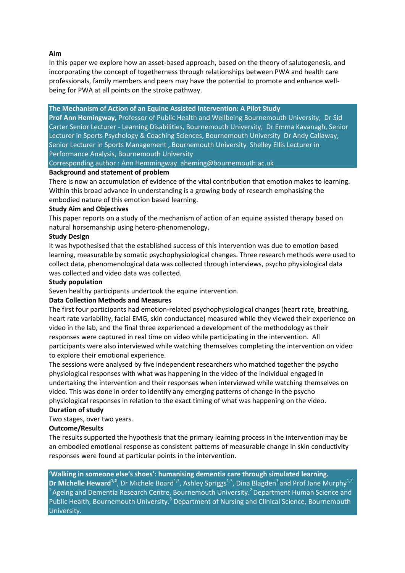**Aim**

In this paper we explore how an asset-based approach, based on the theory of salutogenesis, and incorporating the concept of togetherness through relationships between PWA and health care professionals, family members and peers may have the potential to promote and enhance wellbeing for PWA at all points on the stroke pathway.

**The Mechanism of Action of an Equine Assisted Intervention: A Pilot Study** 

**Prof Ann Hemingway,** Professor of Public Health and Wellbeing Bournemouth University, Dr Sid Carter Senior Lecturer - Learning Disabilities, Bournemouth University, Dr Emma Kavanagh, Senior Lecturer in Sports Psychology & Coaching Sciences, Bournemouth University Dr Andy Callaway, Senior Lecturer in Sports Management , Bournemouth University Shelley Ellis Lecturer in Performance Analysis, Bournemouth University

Corresponding author : Ann Hemmingway aheming@bournemouth.ac.uk

# **Background and statement of problem**

There is now an accumulation of evidence of the vital contribution that emotion makes to learning. Within this broad advance in understanding is a growing body of research emphasising the embodied nature of this emotion based learning.

# **Study Aim and Objectives**

This paper reports on a study of the mechanism of action of an equine assisted therapy based on natural horsemanship using hetero-phenomenology.

# **Study Design**

It was hypothesised that the established success of this intervention was due to emotion based learning, measurable by somatic psychophysiological changes. Three research methods were used to collect data, phenomenological data was collected through interviews, psycho physiological data was collected and video data was collected.

# **Study population**

Seven healthy participants undertook the equine intervention.

# **Data Collection Methods and Measures**

The first four participants had emotion-related psychophysiological changes (heart rate, breathing, heart rate variability, facial EMG, skin conductance) measured while they viewed their experience on video in the lab, and the final three experienced a development of the methodology as their responses were captured in real time on video while participating in the intervention. All participants were also interviewed while watching themselves completing the intervention on video to explore their emotional experience.

The sessions were analysed by five independent researchers who matched together the psycho physiological responses with what was happening in the video of the individual engaged in undertaking the intervention and their responses when interviewed while watching themselves on video. This was done in order to identify any emerging patterns of change in the psycho physiological responses in relation to the exact timing of what was happening on the video.

# **Duration of study**

Two stages, over two years.

# **Outcome/Results**

The results supported the hypothesis that the primary learning process in the intervention may be an embodied emotional response as consistent patterns of measurable change in skin conductivity responses were found at particular points in the intervention.

**'Walking in someone else's shoes': humanising dementia care through simulated learning. Dr Michelle Heward<sup>1,2</sup>, Dr Michele Board<sup>1,3</sup>, Ashley Spriggs<sup>1,3</sup>, Dina Blagden<sup>1</sup> and Prof Jane Murphy<sup>1,2</sup>**  $1$ Ageing and Dementia Research Centre, Bournemouth University.<sup>2</sup> Department Human Science and Public Health, Bournemouth University.<sup>3</sup> Department of Nursing and Clinical Science, Bournemouth University.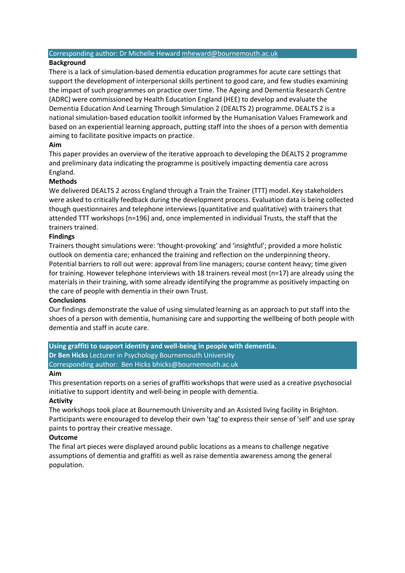#### Corresponding author: Dr Michelle Heward [mheward@bournemouth.ac.uk](mailto:mheward@bournemouth.ac.uk)

### **Background**

There is a lack of simulation-based dementia education programmes for acute care settings that support the development of interpersonal skills pertinent to good care, and few studies examining the impact of such programmes on practice over time. The Ageing and Dementia Research Centre (ADRC) were commissioned by Health Education England (HEE) to develop and evaluate the Dementia Education And Learning Through Simulation 2 (DEALTS 2) programme. DEALTS 2 is a national simulation-based education toolkit informed by the Humanisation Values Framework and based on an experiential learning approach, putting staff into the shoes of a person with dementia aiming to facilitate positive impacts on practice.

# **Aim**

This paper provides an overview of the iterative approach to developing the DEALTS 2 programme and preliminary data indicating the programme is positively impacting dementia care across England.

# **Methods**

We delivered DEALTS 2 across England through a Train the Trainer (TTT) model. Key stakeholders were asked to critically feedback during the development process. Evaluation data is being collected though questionnaires and telephone interviews (quantitative and qualitative) with trainers that attended TTT workshops (n=196) and, once implemented in individual Trusts, the staff that the trainers trained.

# **Findings**

Trainers thought simulations were: 'thought-provoking' and 'insightful'; provided a more holistic outlook on dementia care; enhanced the training and reflection on the underpinning theory. Potential barriers to roll out were: approval from line managers; course content heavy; time given for training. However telephone interviews with 18 trainers reveal most (n=17) are already using the materials in their training, with some already identifying the programme as positively impacting on the care of people with dementia in their own Trust.

#### **Conclusions**

Our findings demonstrate the value of using simulated learning as an approach to put staff into the shoes of a person with dementia, humanising care and supporting the wellbeing of both people with dementia and staff in acute care.

**Using graffiti to support identity and well-being in people with dementia. Dr Ben Hicks** Lecturer in Psychology Bournemouth University Corresponding author: Ben Hicks bhicks@bournemouth.ac.uk

#### **Aim**

This presentation reports on a series of graffiti workshops that were used as a creative psychosocial initiative to support identity and well-being in people with dementia.

#### **Activity**

The workshops took place at Bournemouth University and an Assisted living facility in Brighton. Participants were encouraged to develop their own 'tag' to express their sense of 'self' and use spray paints to portray their creative message.

# **Outcome**

The final art pieces were displayed around public locations as a means to challenge negative assumptions of dementia and graffiti as well as raise dementia awareness among the general population.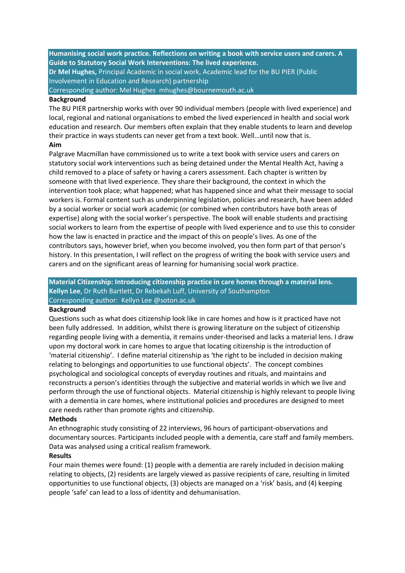**Humanising social work practice. Reflections on writing a book with service users and carers. A Guide to Statutory Social Work Interventions: The lived experience.** 

**Dr Mel Hughes,** Principal Academic in social work, Academic lead for the BU PIER (Public Involvement in Education and Research) partnership

Corresponding author: Mel Hughes mhughes@bournemouth.ac.uk

#### **Background**

The BU PIER partnership works with over 90 individual members (people with lived experience) and local, regional and national organisations to embed the lived experienced in health and social work education and research. Our members often explain that they enable students to learn and develop their practice in ways students can never get from a text book. Well…until now that is.

# **Aim**

Palgrave Macmillan have commissioned us to write a text book with service users and carers on statutory social work interventions such as being detained under the Mental Health Act, having a child removed to a place of safety or having a carers assessment. Each chapter is written by someone with that lived experience. They share their background, the context in which the intervention took place; what happened; what has happened since and what their message to social workers is. Formal content such as underpinning legislation, policies and research, have been added by a social worker or social work academic (or combined when contributors have both areas of expertise) along with the social worker's perspective. The book will enable students and practising social workers to learn from the expertise of people with lived experience and to use this to consider how the law is enacted in practice and the impact of this on people's lives. As one of the contributors says, however brief, when you become involved, you then form part of that person's history. In this presentation, I will reflect on the progress of writing the book with service users and carers and on the significant areas of learning for humanising social work practice.

# **Material Citizenship: Introducing citizenship practice in care homes through a material lens. Kellyn Lee**, Dr Ruth Bartlett, Dr Rebekah Luff, University of Southampton Corresponding author: Kellyn Lee @soton.ac.uk

#### **Background**

Questions such as what does citizenship look like in care homes and how is it practiced have not been fully addressed. In addition, whilst there is growing literature on the subject of citizenship regarding people living with a dementia, it remains under-theorised and lacks a material lens. I draw upon my doctoral work in care homes to argue that locating citizenship is the introduction of 'material citizenship'. I define material citizenship as 'the right to be included in decision making relating to belongings and opportunities to use functional objects'. The concept combines psychological and sociological concepts of everyday routines and rituals, and maintains and reconstructs a person's identities through the subjective and material worlds in which we live and perform through the use of functional objects. Material citizenship is highly relevant to people living with a dementia in care homes, where institutional policies and procedures are designed to meet care needs rather than promote rights and citizenship.

#### **Methods**

An ethnographic study consisting of 22 interviews, 96 hours of participant-observations and documentary sources. Participants included people with a dementia, care staff and family members. Data was analysed using a critical realism framework.

#### **Results**

Four main themes were found: (1) people with a dementia are rarely included in decision making relating to objects, (2) residents are largely viewed as passive recipients of care, resulting in limited opportunities to use functional objects, (3) objects are managed on a 'risk' basis, and (4) keeping people 'safe' can lead to a loss of identity and dehumanisation.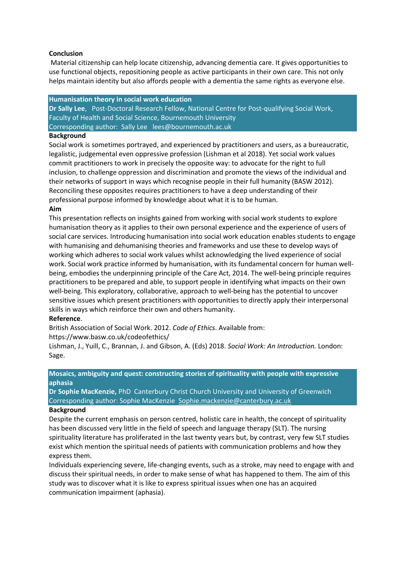#### **Conclusion**

Material citizenship can help locate citizenship, advancing dementia care. It gives opportunities to use functional objects, repositioning people as active participants in their own care. This not only helps maintain identity but also affords people with a dementia the same rights as everyone else.

#### **Humanisation theory in social work education**

**Dr Sally Lee**, Post-Doctoral Research Fellow, National Centre for Post-qualifying Social Work, Faculty of Health and Social Science, Bournemouth University Corresponding author: Sally Lee lees@bournemouth.ac.uk

### **Background**

Social work is sometimes portrayed, and experienced by practitioners and users, as a bureaucratic, legalistic, judgemental even oppressive profession (Lishman et al 2018). Yet social work values commit practitioners to work in precisely the opposite way: to advocate for the right to full inclusion, to challenge oppression and discrimination and promote the views of the individual and their networks of support in ways which recognise people in their full humanity (BASW 2012). Reconciling these opposites requires practitioners to have a deep understanding of their professional purpose informed by knowledge about what it is to be human.

# **Aim**

This presentation reflects on insights gained from working with social work students to explore humanisation theory as it applies to their own personal experience and the experience of users of social care services. Introducing humanisation into social work education enables students to engage with humanising and dehumanising theories and frameworks and use these to develop ways of working which adheres to social work values whilst acknowledging the lived experience of social work. Social work practice informed by humanisation, with its fundamental concern for human wellbeing, embodies the underpinning principle of the Care Act, 2014. The well-being principle requires practitioners to be prepared and able, to support people in identifying what impacts on their own well-being. This exploratory, collaborative, approach to well-being has the potential to uncover sensitive issues which present practitioners with opportunities to directly apply their interpersonal skills in ways which reinforce their own and others humanity.

# **Reference**.

British Association of Social Work. 2012. *Code of Ethics*. Available from:

https://www.basw.co.uk/codeofethics/

Lishman, J., Yuill, C., Brannan, J. and Gibson, A. (Eds) 2018. *Social Work: An Introduction.* London: Sage.

#### **Mosaics, ambiguity and quest: constructing stories of spirituality with people with expressive aphasia**

**Dr Sophie MacKenzie,** PhD Canterbury Christ Church University and University of Greenwich Corresponding author: Sophie MacKenzie [Sophie.mackenzie@canterbury.ac.uk](mailto:Sophie.mackenzie@canterbury.ac.uk)

#### **Background**

Despite the current emphasis on person centred, holistic care in health, the concept of spirituality has been discussed very little in the field of speech and language therapy (SLT). The nursing spirituality literature has proliferated in the last twenty years but, by contrast, very few SLT studies exist which mention the spiritual needs of patients with communication problems and how they express them.

Individuals experiencing severe, life-changing events, such as a stroke, may need to engage with and discuss their spiritual needs, in order to make sense of what has happened to them. The aim of this study was to discover what it is like to express spiritual issues when one has an acquired communication impairment (aphasia).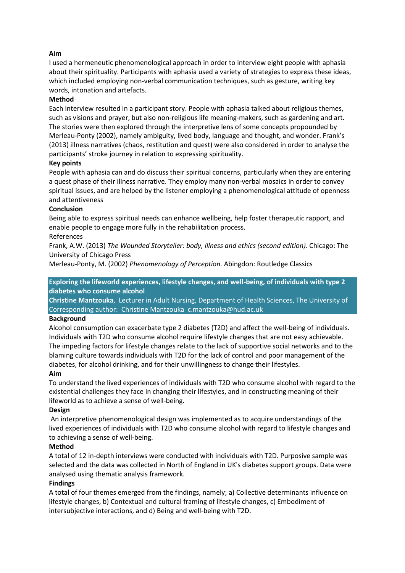# **Aim**

I used a hermeneutic phenomenological approach in order to interview eight people with aphasia about their spirituality. Participants with aphasia used a variety of strategies to express these ideas, which included employing non-verbal communication techniques, such as gesture, writing key words, intonation and artefacts.

### **Method**

Each interview resulted in a participant story. People with aphasia talked about religious themes, such as visions and prayer, but also non-religious life meaning-makers, such as gardening and art. The stories were then explored through the interpretive lens of some concepts propounded by Merleau-Ponty (2002), namely ambiguity, lived body, language and thought, and wonder. Frank's (2013) illness narratives (chaos, restitution and quest) were also considered in order to analyse the participants' stroke journey in relation to expressing spirituality.

# **Key points**

People with aphasia can and do discuss their spiritual concerns, particularly when they are entering a quest phase of their illness narrative. They employ many non-verbal mosaics in order to convey spiritual issues, and are helped by the listener employing a phenomenological attitude of openness and attentiveness

# **Conclusion**

Being able to express spiritual needs can enhance wellbeing, help foster therapeutic rapport, and enable people to engage more fully in the rehabilitation process.

# References

Frank, A.W. (2013) *The Wounded Storyteller: body, illness and ethics (second edition)*. Chicago: The University of Chicago Press

Merleau-Ponty, M. (2002) *Phenomenology of Perception.* Abingdon: Routledge Classics

**Exploring the lifeworld experiences, lifestyle changes, and well-being, of individuals with type 2 diabetes who consume alcohol**

**Christine Mantzouka**, Lecturer in Adult Nursing, Department of Health Sciences, The University of Corresponding author: Christine Mantzouka [c.mantzouka@hud.ac.uk](mailto:c.mantzouka@hud.ac.uk)

#### **Background**

Alcohol consumption can exacerbate type 2 diabetes (T2D) and affect the well-being of individuals. Individuals with T2D who consume alcohol require lifestyle changes that are not easy achievable. The impeding factors for lifestyle changes relate to the lack of supportive social networks and to the blaming culture towards individuals with T2D for the lack of control and poor management of the diabetes, for alcohol drinking, and for their unwillingness to change their lifestyles.

#### **Aim**

To understand the lived experiences of individuals with T2D who consume alcohol with regard to the existential challenges they face in changing their lifestyles, and in constructing meaning of their lifeworld as to achieve a sense of well-being.

#### **Design**

An interpretive phenomenological design was implemented as to acquire understandings of the lived experiences of individuals with T2D who consume alcohol with regard to lifestyle changes and to achieving a sense of well-being.

#### **Method**

A total of 12 in-depth interviews were conducted with individuals with T2D. Purposive sample was selected and the data was collected in North of England in UK's diabetes support groups. Data were analysed using thematic analysis framework.

#### **Findings**

A total of four themes emerged from the findings, namely; a) Collective determinants influence on lifestyle changes, b) Contextual and cultural framing of lifestyle changes, c) Embodiment of intersubjective interactions, and d) Being and well-being with T2D.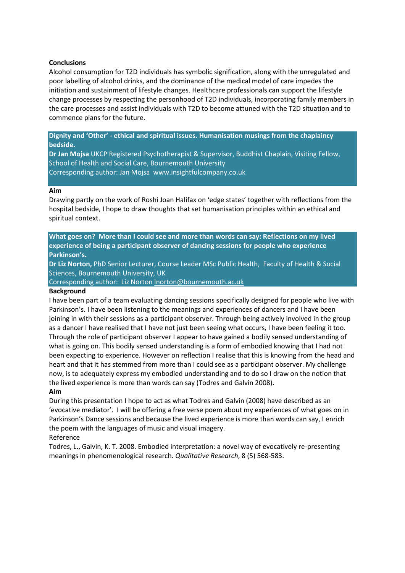#### **Conclusions**

Alcohol consumption for T2D individuals has symbolic signification, along with the unregulated and poor labelling of alcohol drinks, and the dominance of the medical model of care impedes the initiation and sustainment of lifestyle changes. Healthcare professionals can support the lifestyle change processes by respecting the personhood of T2D individuals, incorporating family members in the care processes and assist individuals with T2D to become attuned with the T2D situation and to commence plans for the future.

**Dignity and 'Other' - ethical and spiritual issues. Humanisation musings from the chaplaincy bedside.**

**Dr Jan Mojsa** UKCP Registered Psychotherapist & Supervisor, Buddhist Chaplain, Visiting Fellow, School of Health and Social Care, Bournemouth University Corresponding author: Jan Mojsa www.insightfulcompany.co.uk

#### **Aim**

Drawing partly on the work of Roshi Joan Halifax on 'edge states' together with reflections from the hospital bedside, I hope to draw thoughts that set humanisation principles within an ethical and spiritual context.

**What goes on? More than I could see and more than words can say: Reflections on my lived experience of being a participant observer of dancing sessions for people who experience Parkinson's.** 

**Dr Liz Norton,** PhD Senior Lecturer, Course Leader MSc Public Health, Faculty of Health & Social Sciences, Bournemouth University, UK

Corresponding author: Liz Norto[n lnorton@bournemouth.ac.uk](mailto:lnorton@bournemouth.ac.uk)

#### **Background**

I have been part of a team evaluating dancing sessions specifically designed for people who live with Parkinson's. I have been listening to the meanings and experiences of dancers and I have been joining in with their sessions as a participant observer. Through being actively involved in the group as a dancer I have realised that I have not just been seeing what occurs, I have been feeling it too. Through the role of participant observer I appear to have gained a bodily sensed understanding of what is going on. This bodily sensed understanding is a form of embodied knowing that I had not been expecting to experience. However on reflection I realise that this is knowing from the head and heart and that it has stemmed from more than I could see as a participant observer. My challenge now, is to adequately express my embodied understanding and to do so I draw on the notion that the lived experience is more than words can say (Todres and Galvin 2008).

#### **Aim**

During this presentation I hope to act as what Todres and Galvin (2008) have described as an 'evocative mediator'. I will be offering a free verse poem about my experiences of what goes on in Parkinson's Dance sessions and because the lived experience is more than words can say, I enrich the poem with the languages of music and visual imagery.

#### Reference

Todres, L., Galvin, K. T. 2008. Embodied interpretation: a novel way of evocatively re-presenting meanings in phenomenological research. *Qualitative Research*, 8 (5) 568-583.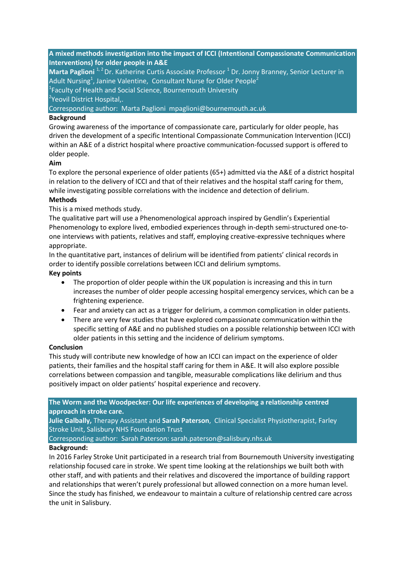**A mixed methods investigation into the impact of ICCI (Intentional Compassionate Communication Interventions) for older people in A&E**

**Marta Paglioni** <sup>1, 2</sup> Dr. Katherine Curtis Associate Professor <sup>1</sup> Dr. Jonny Branney, Senior Lecturer in Adult Nursing<sup>1</sup>, Janine Valentine, Consultant Nurse for Older People<sup>2</sup>

<sup>1</sup> Faculty of Health and Social Science, Bournemouth University

<sup>2</sup>Yeovil District Hospital,.

Corresponding author: Marta Paglioni mpaglioni@bournemouth.ac.uk

### **Background**

Growing awareness of the importance of compassionate care, particularly for older people, has driven the development of a specific Intentional Compassionate Communication Intervention (ICCI) within an A&E of a district hospital where proactive communication-focussed support is offered to older people.

# **Aim**

To explore the personal experience of older patients (65+) admitted via the A&E of a district hospital in relation to the delivery of ICCI and that of their relatives and the hospital staff caring for them, while investigating possible correlations with the incidence and detection of delirium.

# **Methods**

This is a mixed methods study.

The qualitative part will use a Phenomenological approach inspired by Gendlin's Experiential Phenomenology to explore lived, embodied experiences through in-depth semi-structured one-toone interviews with patients, relatives and staff, employing creative-expressive techniques where appropriate.

In the quantitative part, instances of delirium will be identified from patients' clinical records in order to identify possible correlations between ICCI and delirium symptoms.

# **Key points**

- The proportion of older people within the UK population is increasing and this in turn increases the number of older people accessing hospital emergency services, which can be a frightening experience.
- Fear and anxiety can act as a trigger for delirium, a common complication in older patients.
- There are very few studies that have explored compassionate communication within the specific setting of A&E and no published studies on a possible relationship between ICCI with older patients in this setting and the incidence of delirium symptoms.

#### **Conclusion**

This study will contribute new knowledge of how an ICCI can impact on the experience of older patients, their families and the hospital staff caring for them in A&E. It will also explore possible correlations between compassion and tangible, measurable complications like delirium and thus positively impact on older patients' hospital experience and recovery.

**The Worm and the Woodpecker: Our life experiences of developing a relationship centred approach in stroke care.**

**Julie Galbally,** Therapy Assistant and **Sarah Paterson**, Clinical Specialist Physiotherapist, Farley Stroke Unit, Salisbury NHS Foundation Trust

Corresponding author: Sarah Paterson: sarah.paterson@salisbury.nhs.uk

# **Background:**

In 2016 Farley Stroke Unit participated in a research trial from Bournemouth University investigating relationship focused care in stroke. We spent time looking at the relationships we built both with other staff, and with patients and their relatives and discovered the importance of building rapport and relationships that weren't purely professional but allowed connection on a more human level. Since the study has finished, we endeavour to maintain a culture of relationship centred care across the unit in Salisbury.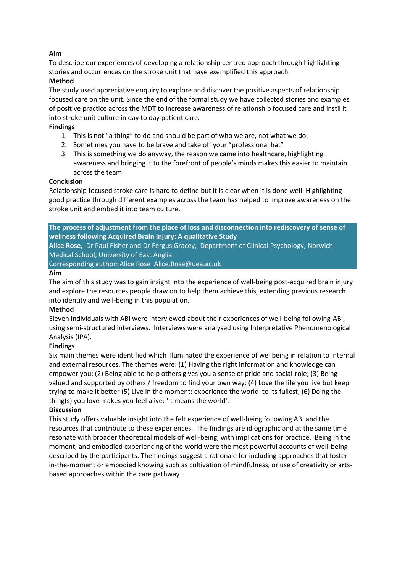# **Aim**

To describe our experiences of developing a relationship centred approach through highlighting stories and occurrences on the stroke unit that have exemplified this approach.

# **Method**

The study used appreciative enquiry to explore and discover the positive aspects of relationship focused care on the unit. Since the end of the formal study we have collected stories and examples of positive practice across the MDT to increase awareness of relationship focused care and instil it into stroke unit culture in day to day patient care.

# **Findings**

- 1. This is not "a thing" to do and should be part of who we are, not what we do.
- 2. Sometimes you have to be brave and take off your "professional hat"
- 3. This is something we do anyway, the reason we came into healthcare, highlighting awareness and bringing it to the forefront of people's minds makes this easier to maintain across the team.

# **Conclusion**

Relationship focused stroke care is hard to define but it is clear when it is done well. Highlighting good practice through different examples across the team has helped to improve awareness on the stroke unit and embed it into team culture.

**The process of adjustment from the place of loss and disconnection into rediscovery of sense of wellness following Acquired Brain Injury: A qualitative Study Alice Rose,** Dr Paul Fisher and Dr Fergus Gracey, Department of Clinical Psychology, Norwich

Medical School, University of East Anglia Corresponding author: Alice Rose Alice.Rose@uea.ac.uk

# **Aim**

The aim of this study was to gain insight into the experience of well-being post-acquired brain injury and explore the resources people draw on to help them achieve this, extending previous research into identity and well-being in this population.

# **Method**

Eleven individuals with ABI were interviewed about their experiences of well-being following-ABI, using semi-structured interviews. Interviews were analysed using Interpretative Phenomenological Analysis (IPA).

# **Findings**

Six main themes were identified which illuminated the experience of wellbeing in relation to internal and external resources. The themes were: (1) Having the right information and knowledge can empower you; (2) Being able to help others gives you a sense of pride and social-role; (3) Being valued and supported by others / freedom to find your own way; (4) Love the life you live but keep trying to make it better (5) Live in the moment: experience the world to its fullest; (6) Doing the thing(s) you love makes you feel alive: 'It means the world'.

# **Discussion**

This study offers valuable insight into the felt experience of well-being following ABI and the resources that contribute to these experiences. The findings are idiographic and at the same time resonate with broader theoretical models of well-being, with implications for practice. Being in the moment, and embodied experiencing of the world were the most powerful accounts of well-being described by the participants. The findings suggest a rationale for including approaches that foster in-the-moment or embodied knowing such as cultivation of mindfulness, or use of creativity or artsbased approaches within the care pathway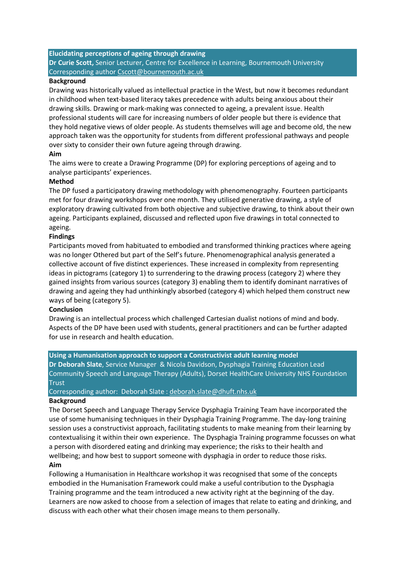**Elucidating perceptions of ageing through drawing Dr Curie Scott,** Senior Lecturer, Centre for Excellence in Learning, Bournemouth University Corresponding author [Cscott@bournemouth.ac.uk](mailto:Cscott@bournemouth.ac.uk)

#### **Background**

Drawing was historically valued as intellectual practice in the West, but now it becomes redundant in childhood when text-based literacy takes precedence with adults being anxious about their drawing skills. Drawing or mark-making was connected to ageing, a prevalent issue. Health professional students will care for increasing numbers of older people but there is evidence that they hold negative views of older people. As students themselves will age and become old, the new approach taken was the opportunity for students from different professional pathways and people over sixty to consider their own future ageing through drawing.

#### **Aim**

The aims were to create a Drawing Programme (DP) for exploring perceptions of ageing and to analyse participants' experiences.

#### **Method**

The DP fused a participatory drawing methodology with phenomenography. Fourteen participants met for four drawing workshops over one month. They utilised generative drawing, a style of exploratory drawing cultivated from both objective and subjective drawing, to think about their own ageing. Participants explained, discussed and reflected upon five drawings in total connected to ageing.

#### **Findings**

Participants moved from habituated to embodied and transformed thinking practices where ageing was no longer Othered but part of the Self's future. Phenomenographical analysis generated a collective account of five distinct experiences. These increased in complexity from representing ideas in pictograms (category 1) to surrendering to the drawing process (category 2) where they gained insights from various sources (category 3) enabling them to identify dominant narratives of drawing and ageing they had unthinkingly absorbed (category 4) which helped them construct new ways of being (category 5).

#### **Conclusion**

Drawing is an intellectual process which challenged Cartesian dualist notions of mind and body. Aspects of the DP have been used with students, general practitioners and can be further adapted for use in research and health education.

#### **Using a Humanisation approach to support a Constructivist adult learning model**

**Dr Deborah Slate**, Service Manager & Nicola Davidson, Dysphagia Training Education Lead Community Speech and Language Therapy (Adults), Dorset HealthCare University NHS Foundation **Trust** 

#### Corresponding author: Deborah Slate : [deborah.slate@dhuft.nhs.uk](mailto:deborah.slate@dhuft.nhs.uk)

# **Background**

The Dorset Speech and Language Therapy Service Dysphagia Training Team have incorporated the use of some humanising techniques in their Dysphagia Training Programme. The day-long training session uses a constructivist approach, facilitating students to make meaning from their learning by contextualising it within their own experience. The Dysphagia Training programme focusses on what a person with disordered eating and drinking may experience; the risks to their health and wellbeing; and how best to support someone with dysphagia in order to reduce those risks. **Aim**

Following a Humanisation in Healthcare workshop it was recognised that some of the concepts embodied in the Humanisation Framework could make a useful contribution to the Dysphagia Training programme and the team introduced a new activity right at the beginning of the day. Learners are now asked to choose from a selection of images that relate to eating and drinking, and discuss with each other what their chosen image means to them personally.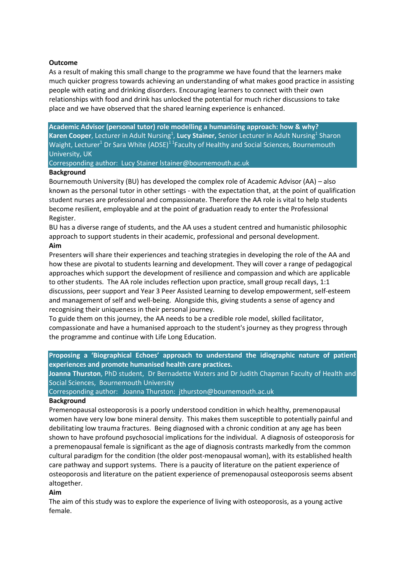#### **Outcome**

As a result of making this small change to the programme we have found that the learners make much quicker progress towards achieving an understanding of what makes good practice in assisting people with eating and drinking disorders. Encouraging learners to connect with their own relationships with food and drink has unlocked the potential for much richer discussions to take place and we have observed that the shared learning experience is enhanced.

**Academic Advisor (personal tutor) role modelling a humanising approach: how & why?** Karen Cooper, Lecturer in Adult Nursing<sup>1</sup>, Lucy Stainer, Senior Lecturer in Adult Nursing<sup>1</sup> Sharon Waight, Lecturer<sup>1</sup> Dr Sara White (ADSE)<sup>11</sup> Faculty of Healthy and Social Sciences, Bournemouth University, UK

Corresponding author: Lucy Stainer lstainer@bournemouth.ac.uk

#### **Background**

Bournemouth University (BU) has developed the complex role of Academic Advisor (AA) – also known as the personal tutor in other settings - with the expectation that, at the point of qualification student nurses are professional and compassionate. Therefore the AA role is vital to help students become resilient, employable and at the point of graduation ready to enter the Professional Register.

BU has a diverse range of students, and the AA uses a student centred and humanistic philosophic approach to support students in their academic, professional and personal development.

# **Aim**

Presenters will share their experiences and teaching strategies in developing the role of the AA and how these are pivotal to students learning and development. They will cover a range of pedagogical approaches which support the development of resilience and compassion and which are applicable to other students. The AA role includes reflection upon practice, small group recall days, 1:1 discussions, peer support and Year 3 Peer Assisted Learning to develop empowerment, self-esteem and management of self and well-being. Alongside this, giving students a sense of agency and recognising their uniqueness in their personal journey.

To guide them on this journey, the AA needs to be a credible role model, skilled facilitator, compassionate and have a humanised approach to the student's journey as they progress through the programme and continue with Life Long Education.

**Proposing a 'Biographical Echoes' approach to understand the idiographic nature of patient experiences and promote humanised health care practices.**

**Joanna Thurston**, PhD student, Dr Bernadette Waters and Dr Judith Chapman Faculty of Health and Social Sciences, Bournemouth University

Corresponding author: Joanna Thurston: jthurston@bournemouth.ac.uk

#### **Background**

Premenopausal osteoporosis is a poorly understood condition in which healthy, premenopausal women have very low bone mineral density. This makes them susceptible to potentially painful and debilitating low trauma fractures. Being diagnosed with a chronic condition at any age has been shown to have profound psychosocial implications for the individual. A diagnosis of osteoporosis for a premenopausal female is significant as the age of diagnosis contrasts markedly from the common cultural paradigm for the condition (the older post-menopausal woman), with its established health care pathway and support systems. There is a paucity of literature on the patient experience of osteoporosis and literature on the patient experience of premenopausal osteoporosis seems absent altogether.

#### **Aim**

The aim of this study was to explore the experience of living with osteoporosis, as a young active female.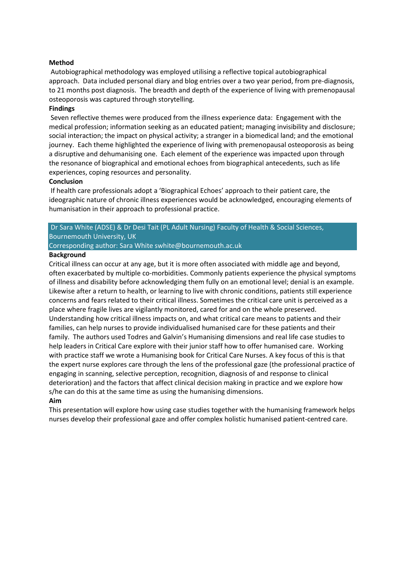#### **Method**

Autobiographical methodology was employed utilising a reflective topical autobiographical approach. Data included personal diary and blog entries over a two year period, from pre-diagnosis, to 21 months post diagnosis. The breadth and depth of the experience of living with premenopausal osteoporosis was captured through storytelling.

#### **Findings**

Seven reflective themes were produced from the illness experience data: Engagement with the medical profession; information seeking as an educated patient; managing invisibility and disclosure; social interaction; the impact on physical activity; a stranger in a biomedical land; and the emotional journey. Each theme highlighted the experience of living with premenopausal osteoporosis as being a disruptive and dehumanising one. Each element of the experience was impacted upon through the resonance of biographical and emotional echoes from biographical antecedents, such as life experiences, coping resources and personality.

#### **Conclusion**

If health care professionals adopt a 'Biographical Echoes' approach to their patient care, the ideographic nature of chronic illness experiences would be acknowledged, encouraging elements of humanisation in their approach to professional practice.

# Dr Sara White (ADSE) & Dr Desi Tait (PL Adult Nursing) Faculty of Health & Social Sciences, Bournemouth University, UK

Corresponding author: Sara Whit[e swhite@bournemouth.ac.uk](mailto:swhite@bournemouth.ac.uk)

#### **Background**

Critical illness can occur at any age, but it is more often associated with middle age and beyond, often exacerbated by multiple co-morbidities. Commonly patients experience the physical symptoms of illness and disability before acknowledging them fully on an emotional level; denial is an example. Likewise after a return to health, or learning to live with chronic conditions, patients still experience concerns and fears related to their critical illness. Sometimes the critical care unit is perceived as a place where fragile lives are vigilantly monitored, cared for and on the whole preserved. Understanding how critical illness impacts on, and what critical care means to patients and their families, can help nurses to provide individualised humanised care for these patients and their family. The authors used Todres and Galvin's Humanising dimensions and real life case studies to help leaders in Critical Care explore with their junior staff how to offer humanised care. Working with practice staff we wrote a Humanising book for Critical Care Nurses. A key focus of this is that the expert nurse explores care through the lens of the professional gaze (the professional practice of engaging in scanning, selective perception, recognition, diagnosis of and response to clinical deterioration) and the factors that affect clinical decision making in practice and we explore how s/he can do this at the same time as using the humanising dimensions.

#### **Aim**

This presentation will explore how using case studies together with the humanising framework helps nurses develop their professional gaze and offer complex holistic humanised patient-centred care.